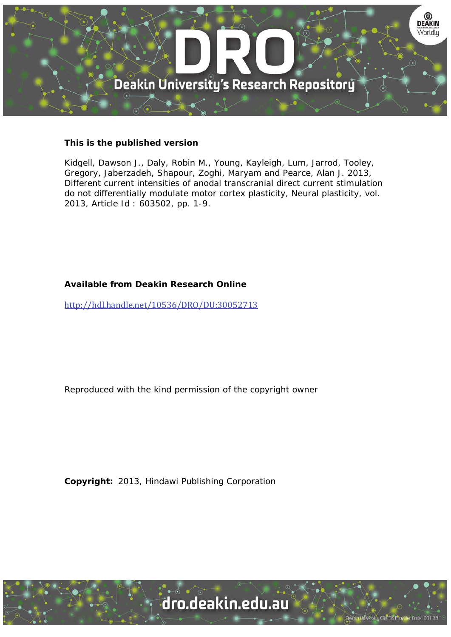

## **This is the published version**

Kidgell, Dawson J., Daly, Robin M., Young, Kayleigh, Lum, Jarrod, Tooley, Gregory, Jaberzadeh, Shapour, Zoghi, Maryam and Pearce, Alan J. 2013, Different current intensities of anodal transcranial direct current stimulation do not differentially modulate motor cortex plasticity, Neural plasticity, vol. 2013, Article Id : 603502, pp. 1-9.

## **Available from Deakin Research Online**

http://hdl.handle.net/10536/DRO/DU:30052713

Reproduced with the kind permission of the copyright owner

**Copyright:** 2013, Hindawi Publishing Corporation

University CRICOS Provider Code: 00113B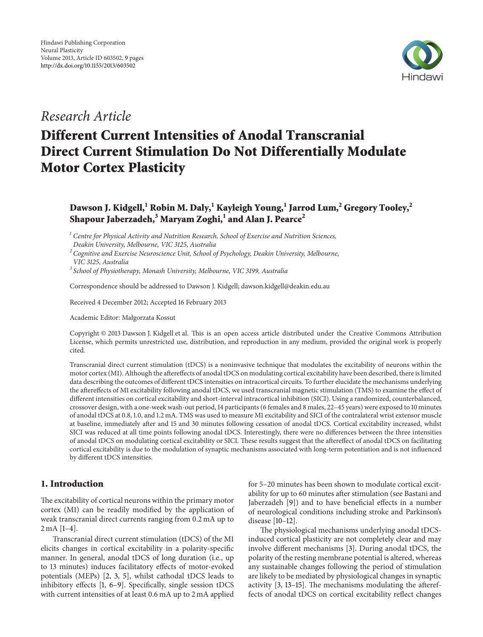

## *Research Article*

# **Different Current Intensities of Anodal Transcranial Direct Current Stimulation Do Not Differentially Modulate Motor Cortex Plasticity**

## **Dawson J. Kidgell,<sup>1</sup> Robin M. Daly,1 Kayleigh Young,1 Jarrod Lum,<sup>2</sup> Gregory Tooley,2 Shapour Jaberzadeh,<sup>3</sup> Maryam Zoghi,1 and Alan J. Pearce<sup>2</sup>**

*<sup>1</sup> Centre for Physical Activity and Nutrition Research, School of Exercise and Nutrition Sciences, Deakin University, Melbourne, VIC 3125, Australia*

*<sup>2</sup> Cognitive and Exercise Neuroscience Unit, School of Psychology, Deakin University, Melbourne, VIC 3125, Australia*

*<sup>3</sup> School of Physiotherapy, Monash University, Melbourne, VIC 3199, Australia*

Correspondence should be addressed to Dawson J. Kidgell; dawson.kidgell@deakin.edu.au

Received 4 December 2012; Accepted 16 February 2013

Academic Editor: Małgorzata Kossut

Copyright © 2013 Dawson J. Kidgell et al. This is an open access article distributed under the Creative Commons Attribution License, which permits unrestricted use, distribution, and reproduction in any medium, provided the original work is properly cited.

Transcranial direct current stimulation (tDCS) is a noninvasive technique that modulates the excitability of neurons within the motor cortex (M1). Although the aftereffects of anodal tDCS on modulating cortical excitability have been described, there is limited data describing the outcomes of different tDCS intensities on intracortical circuits. To further elucidate the mechanisms underlying the aftereffects of M1 excitability following anodal tDCS, we used transcranial magnetic stimulation (TMS) to examine the effect of different intensities on cortical excitability and short-interval intracortical inhibition (SICI). Using a randomized, counterbalanced, crossover design, with a one-week wash-out period, 14 participants (6 females and 8 males, 22–45 years) were exposed to 10 minutes of anodal tDCS at 0.8, 1.0, and 1.2 mA. TMS was used to measure M1 excitability and SICI of the contralateral wrist extensor muscle at baseline, immediately after and 15 and 30 minutes following cessation of anodal tDCS. Cortical excitability increased, whilst SICI was reduced at all time points following anodal tDCS. Interestingly, there were no differences between the three intensities of anodal tDCS on modulating cortical excitability or SICI. These results suggest that the aftereffect of anodal tDCS on facilitating cortical excitability is due to the modulation of synaptic mechanisms associated with long-term potentiation and is not influenced by different tDCS intensities.

### **1. Introduction**

The excitability of cortical neurons within the primary motor cortex (M1) can be readily modified by the application of weak transcranial direct currents ranging from 0.2 mA up to 2 mA [1–4].

Transcranial direct current stimulation (tDCS) of the M1 elicits changes in cortical excitability in a polarity-specific manner. In general, anodal tDCS of long duration (i.e., up to 13 minutes) induces facilitatory effects of motor-evoked potentials (MEPs) [2, 3, 5], whilst cathodal tDCS leads to inhibitory effects [1, 6–9]. Specifically, single session tDCS with current intensities of at least 0.6 mA up to 2 mA applied for 5–20 minutes has been shown to modulate cortical excitability for up to 60 minutes after stimulation (see Bastani and Jaberzadeh [9]) and to have beneficial effects in a number of neurological conditions including stroke and Parkinson's disease [10–12].

The physiological mechanisms underlying anodal tDCSinduced cortical plasticity are not completely clear and may involve different mechanisms [3]. During anodal tDCS, the polarity of the resting membrane potential is altered, whereas any sustainable changes following the period of stimulation are likely to be mediated by physiological changes in synaptic activity [3, 13–15]. The mechanisms modulating the aftereffects of anodal tDCS on cortical excitability reflect changes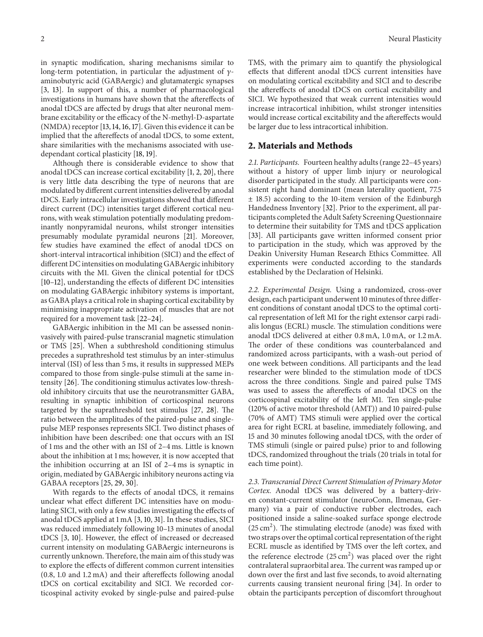in synaptic modification, sharing mechanisms similar to long-term potentiation, in particular the adjustment of  $\nu$ aminobutyric acid (GABAergic) and glutamatergic synapses [3, 13]. In support of this, a number of pharmacological investigations in humans have shown that the aftereffects of anodal tDCS are affected by drugs that alter neuronal membrane excitability or the efficacy of the N-methyl-D-aspartate (NMDA) receptor [13, 14, 16, 17]. Given this evidence it can be implied that the aftereffects of anodal tDCS, to some extent, share similarities with the mechanisms associated with usedependant cortical plasticity [18, 19].

Although there is considerable evidence to show that anodal tDCS can increase cortical excitability [1, 2, 20], there is very little data describing the type of neurons that are modulated by different current intensities delivered by anodal tDCS. Early intracellular investigations showed that different direct current (DC) intensities target different cortical neurons, with weak stimulation potentially modulating predominantly nonpyramidal neurons, whilst stronger intensities presumably modulate pyramidal neurons [21]. Moreover, few studies have examined the effect of anodal tDCS on short-interval intracortical inhibition (SICI) and the effect of different DC intensities on modulating GABAergic inhibitory circuits with the M1. Given the clinical potential for tDCS [10–12], understanding the effects of different DC intensities on modulating GABAergic inhibitory systems is important, as GABA plays a critical role in shaping cortical excitability by minimising inappropriate activation of muscles that are not required for a movement task [22–24].

GABAergic inhibition in the M1 can be assessed noninvasively with paired-pulse transcranial magnetic stimulation or TMS [25]. When a subthreshold conditioning stimulus precedes a suprathreshold test stimulus by an inter-stimulus interval (ISI) of less than 5 ms, it results in suppressed MEPs compared to those from single-pulse stimuli at the same intensity [26]. The conditioning stimulus activates low-threshold inhibitory circuits that use the neurotransmitter GABA, resulting in synaptic inhibition of corticospinal neurons targeted by the suprathreshold test stimulus [27, 28]. The ratio between the amplitudes of the paired-pulse and singlepulse MEP responses represents SICI. Two distinct phases of inhibition have been described: one that occurs with an ISI of 1 ms and the other with an ISI of 2–4 ms. Little is known about the inhibition at 1 ms; however, it is now accepted that the inhibition occurring at an ISI of 2–4 ms is synaptic in origin, mediated by GABAergic inhibitory neurons acting via GABAA receptors [25, 29, 30].

With regards to the effects of anodal tDCS, it remains unclear what effect different DC intensities have on modulating SICI, with only a few studies investigating the effects of anodal tDCS applied at 1 mA [3, 10, 31]. In these studies, SICI was reduced immediately following 10–13 minutes of anodal tDCS [3, 10]. However, the effect of increased or decreased current intensity on modulating GABAergic interneurons is currently unknown.Therefore, the main aim of this study was to explore the effects of different common current intensities (0.8, 1.0 and 1.2 mA) and their aftereffects following anodal tDCS on cortical excitability and SICI. We recorded corticospinal activity evoked by single-pulse and paired-pulse

TMS, with the primary aim to quantify the physiological effects that different anodal tDCS current intensities have on modulating cortical excitability and SICI and to describe the aftereffects of anodal tDCS on cortical excitability and SICI. We hypothesized that weak current intensities would increase intracortical inhibition, whilst stronger intensities would increase cortical excitability and the aftereffects would be larger due to less intracortical inhibition.

#### **2. Materials and Methods**

*2.1. Participants.* Fourteen healthy adults (range 22–45 years) without a history of upper limb injury or neurological disorder participated in the study. All participants were consistent right hand dominant (mean laterality quotient, 77.5 ± 18.5) according to the 10-item version of the Edinburgh Handedness Inventory [32]. Prior to the experiment, all participants completed the Adult Safety Screening Questionnaire to determine their suitability for TMS and tDCS application [33]. All participants gave written informed consent prior to participation in the study, which was approved by the Deakin University Human Research Ethics Committee. All experiments were conducted according to the standards established by the Declaration of Helsinki.

*2.2. Experimental Design.* Using a randomized, cross-over design, each participant underwent 10 minutes of three different conditions of constant anodal tDCS to the optimal cortical representation of left M1 for the right extensor carpi radialis longus (ECRL) muscle. The stimulation conditions were anodal tDCS delivered at either 0.8 mA, 1.0 mA, or 1.2 mA. The order of these conditions was counterbalanced and randomized across participants, with a wash-out period of one week between conditions. All participants and the lead researcher were blinded to the stimulation mode of tDCS across the three conditions. Single and paired pulse TMS was used to assess the aftereffects of anodal tDCS on the corticospinal excitability of the left M1. Ten single-pulse (120% of active motor threshold (AMT)) and 10 paired-pulse (70% of AMT) TMS stimuli were applied over the cortical area for right ECRL at baseline, immediately following, and 15 and 30 minutes following anodal tDCS, with the order of TMS stimuli (single or paired pulse) prior to and following tDCS, randomized throughout the trials (20 trials in total for each time point).

*2.3. Transcranial Direct Current Stimulation of Primary Motor Cortex.* Anodal tDCS was delivered by a battery-driven constant-current stimulator (neuroConn, Ilmenau, Germany) via a pair of conductive rubber electrodes, each positioned inside a saline-soaked surface sponge electrode  $(25 \text{ cm}^2)$ . The stimulating electrode (anode) was fixed with two straps over the optimal cortical representation of the right ECRL muscle as identified by TMS over the left cortex, and the reference electrode  $(25 \text{ cm}^2)$  was placed over the right contralateral supraorbital area.The current was ramped up or down over the first and last five seconds, to avoid alternating currents causing transient neuronal firing [34]. In order to obtain the participants perception of discomfort throughout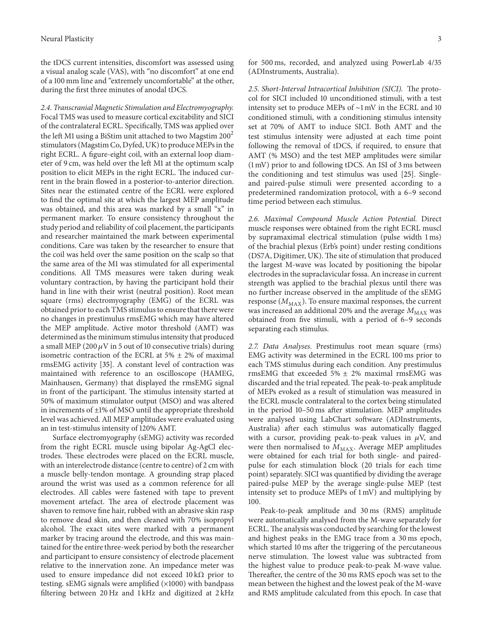the tDCS current intensities, discomfort was assessed using a visual analog scale (VAS), with "no discomfort" at one end of a 100 mm line and "extremely uncomfortable" at the other, during the first three minutes of anodal tDCS.

*2.4. Transcranial Magnetic Stimulation and Electromyography.* Focal TMS was used to measure cortical excitability and SICI of the contralateral ECRL. Specifically, TMS was applied over the left M1 using a BiStim unit attached to two Magstim  $200<sup>2</sup>$ stimulators (Magstim Co, Dyfed, UK) to produce MEPs in the right ECRL. A figure-eight coil, with an external loop diameter of 9 cm, was held over the left M1 at the optimum scalp position to elicit MEPs in the right ECRL. The induced current in the brain flowed in a posterior-to-anterior direction. Sites near the estimated centre of the ECRL were explored to find the optimal site at which the largest MEP amplitude was obtained, and this area was marked by a small "x" in permanent marker. To ensure consistency throughout the study period and reliability of coil placement, the participants and researcher maintained the mark between experimental conditions. Care was taken by the researcher to ensure that the coil was held over the same position on the scalp so that the same area of the M1 was stimulated for all experimental conditions. All TMS measures were taken during weak voluntary contraction, by having the participant hold their hand in line with their wrist (neutral position). Root mean square (rms) electromyography (EMG) of the ECRL was obtained prior to each TMS stimulus to ensure that there were no changes in prestimulus rmsEMG which may have altered the MEP amplitude. Active motor threshold (AMT) was determined as the minimum stimulus intensity that produced a small MEP (200  $\mu$ V in 5 out of 10 consecutive trials) during isometric contraction of the ECRL at  $5\% \pm 2\%$  of maximal rmsEMG activity [35]. A constant level of contraction was maintained with reference to an oscilloscope (HAMEG, Mainhausen, Germany) that displayed the rmsEMG signal in front of the participant. The stimulus intensity started at 50% of maximum stimulator output (MSO) and was altered in increments of  $\pm 1\%$  of MSO until the appropriate threshold level was achieved. All MEP amplitudes were evaluated using an in test-stimulus intensity of 120% AMT.

Surface electromyography (sEMG) activity was recorded from the right ECRL muscle using bipolar Ag-AgCl electrodes. These electrodes were placed on the ECRL muscle, with an interelectrode distance (centre to centre) of 2 cm with a muscle belly-tendon montage. A grounding strap placed around the wrist was used as a common reference for all electrodes. All cables were fastened with tape to prevent movement artefact. The area of electrode placement was shaven to remove fine hair, rubbed with an abrasive skin rasp to remove dead skin, and then cleaned with 70% isopropyl alcohol. The exact sites were marked with a permanent marker by tracing around the electrode, and this was maintained for the entire three-week period by both the researcher and participant to ensure consistency of electrode placement relative to the innervation zone. An impedance meter was used to ensure impedance did not exceed  $10 \text{ k}\Omega$  prior to testing. sEMG signals were amplified (×1000) with bandpass filtering between 20 Hz and 1 kHz and digitized at 2 kHz

for 500 ms, recorded, and analyzed using PowerLab 4/35 (ADInstruments, Australia).

*2.5. Short-Interval Intracortical Inhibition (SICI).* The protocol for SICI included 10 unconditioned stimuli, with a test intensity set to produce MEPs of ∼1 mV in the ECRL and 10 conditioned stimuli, with a conditioning stimulus intensity set at 70% of AMT to induce SICI. Both AMT and the test stimulus intensity were adjusted at each time point following the removal of tDCS, if required, to ensure that AMT (% MSO) and the test MEP amplitudes were similar (1 mV) prior to and following tDCS. An ISI of 3 ms between the conditioning and test stimulus was used [25]. Singleand paired-pulse stimuli were presented according to a predetermined randomization protocol, with a 6–9 second time period between each stimulus.

*2.6. Maximal Compound Muscle Action Potential.* Direct muscle responses were obtained from the right ECRL muscl by supramaximal electrical stimulation (pulse width 1 ms) of the brachial plexus (Erb's point) under resting conditions (DS7A, Digitimer, UK). The site of stimulation that produced the largest M-wave was located by positioning the bipolar electrodes in the supraclavicular fossa. An increase in current strength was applied to the brachial plexus until there was no further increase observed in the amplitude of the sEMG response  $(M_{\rm MAX})$  . To ensure maximal responses, the current was increased an additional 20% and the average  $M_{\text{MAX}}$  was obtained from five stimuli, with a period of 6–9 seconds separating each stimulus.

*2.7. Data Analyses.* Prestimulus root mean square (rms) EMG activity was determined in the ECRL 100 ms prior to each TMS stimulus during each condition. Any prestimulus rmsEMG that exceeded 5%  $\pm$  2% maximal rmsEMG was discarded and the trial repeated. The peak-to-peak amplitude of MEPs evoked as a result of stimulation was measured in the ECRL muscle contralateral to the cortex being stimulated in the period 10–50 ms after stimulation. MEP amplitudes were analysed using LabChart software (ADInstruments, Australia) after each stimulus was automatically flagged with a cursor, providing peak-to-peak values in  $\mu$ V, and were then normalised to  $M_{\text{MAX}}$ . Average MEP amplitudes were obtained for each trial for both single- and pairedpulse for each stimulation block (20 trials for each time point) separately. SICI was quantified by dividing the average paired-pulse MEP by the average single-pulse MEP (test intensity set to produce MEPs of 1 mV) and multiplying by 100.

Peak-to-peak amplitude and 30 ms (RMS) amplitude were automatically analysed from the M-wave separately for ECRL.The analysis was conducted by searching for the lowest and highest peaks in the EMG trace from a 30 ms epoch, which started 10 ms after the triggering of the percutaneous nerve stimulation. The lowest value was subtracted from the highest value to produce peak-to-peak M-wave value. Thereafter, the centre of the 30 ms RMS epoch was set to the mean between the highest and the lowest peak of the M-wave and RMS amplitude calculated from this epoch. In case that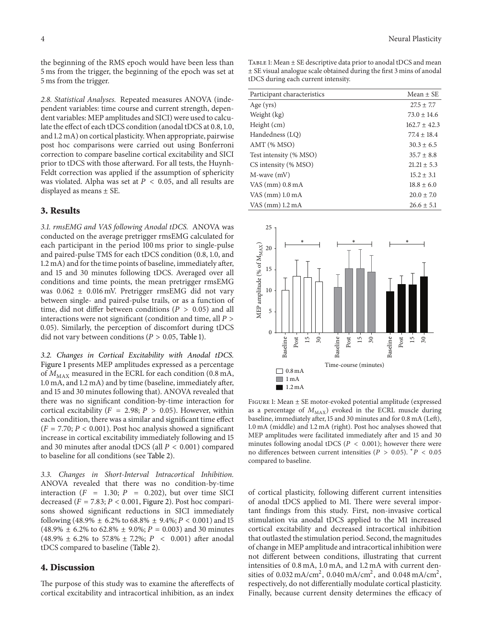the beginning of the RMS epoch would have been less than 5 ms from the trigger, the beginning of the epoch was set at 5 ms from the trigger.

*2.8. Statistical Analyses.* Repeated measures ANOVA (independent variables: time course and current strength, dependent variables: MEP amplitudes and SICI) were used to calculate the effect of each tDCS condition (anodal tDCS at 0.8, 1.0, and 1.2 mA) on cortical plasticity.When appropriate, pairwise post hoc comparisons were carried out using Bonferroni correction to compare baseline cortical excitability and SICI prior to tDCS with those afterward. For all tests, the Huynh-Feldt correction was applied if the assumption of sphericity was violated. Alpha was set at  $P < 0.05$ , and all results are displayed as means ± SE.

#### **3. Results**

*3.1. rmsEMG and VAS following Anodal tDCS.* ANOVA was conducted on the average pretrigger rmsEMG calculated for each participant in the period 100 ms prior to single-pulse and paired-pulse TMS for each tDCS condition (0.8, 1.0, and 1.2 mA) and for the time points of baseline, immediately after, and 15 and 30 minutes following tDCS. Averaged over all conditions and time points, the mean pretrigger rmsEMG was 0.062 ± 0.016 mV. Pretrigger rmsEMG did not vary between single- and paired-pulse trails, or as a function of time, did not differ between conditions ( $P > 0.05$ ) and all interactions were not significant (condition and time, all  $P >$ 0.05). Similarly, the perception of discomfort during tDCS did not vary between conditions ( $P > 0.05$ , Table 1).

*3.2. Changes in Cortical Excitability with Anodal tDCS.* Figure 1 presents MEP amplitudes expressed as a percentage of  $M_{MAX}$  measured in the ECRL for each condition (0.8 mA, 1.0 mA, and 1.2 mA) and by time (baseline, immediately after, and 15 and 30 minutes following that). ANOVA revealed that there was no significant condition-by-time interaction for cortical excitability ( $F = 2.98; P > 0.05$ ). However, within each condition, there was a similar and significant time effect  $(F = 7.70; P < 0.001)$ . Post hoc analysis showed a significant increase in cortical excitability immediately following and 15 and 30 minutes after anodal tDCS (all  $P < 0.001$ ) compared to baseline for all conditions (see Table 2).

*3.3. Changes in Short-Interval Intracortical Inhibition.* ANOVA revealed that there was no condition-by-time interaction ( $F = 1.30; P = 0.202$ ), but over time SICI decreased ( $F = 7.83$ ;  $P < 0.001$ , Figure 2). Post hoc comparisons showed significant reductions in SICI immediately following (48.9%  $\pm$  6.2% to 68.8%  $\pm$  9.4%;  $P < 0.001$ ) and 15  $(48.9\% \pm 6.2\% \text{ to } 62.8\% \pm 9.0\%; P = 0.003)$  and 30 minutes  $(48.9\% \pm 6.2\%$  to 57.8%  $\pm$  7.2%;  $P < 0.001$ ) after anodal tDCS compared to baseline (Table 2).

#### **4. Discussion**

The purpose of this study was to examine the aftereffects of cortical excitability and intracortical inhibition, as an index

Table 1: Mean ± SE descriptive data prior to anodal tDCS and mean ± SE visual analogue scale obtained during the first 3 mins of anodal tDCS during each current intensity.

| Participant characteristics | $Mean + SE$      |
|-----------------------------|------------------|
| Age $(yrs)$                 | $27.5 \pm 7.7$   |
| Weight (kg)                 | $73.0 \pm 14.6$  |
| Height (cm)                 | $162.7 \pm 42.3$ |
| Handedness (LO)             | $77.4 \pm 18.4$  |
| $AMT$ (% MSO)               | $30.3 \pm 6.5$   |
| Test intensity (% MSO)      | $35.7 \pm 8.8$   |
| CS intensity (% MSO)        | $21.21 \pm 5.3$  |
| M-wave (mV)                 | $15.2 \pm 3.1$   |
| VAS $(mm)$ 0.8 mA           | $18.8 + 6.0$     |
| VAS $(mm)$ 1.0 mA           | $20.0 \pm 7.0$   |
| VAS $(mm)$ 1.2 mA           | $26.6 \pm 5.1$   |



Figure 1: Mean ± SE motor-evoked potential amplitude (expressed as a percentage of  $M_{\rm MAX}$ ) evoked in the ECRL muscle during baseline, immediately after, 15 and 30 minutes and for 0.8 mA (Left), 1.0 mA (middle) and 1.2 mA (right). Post hoc analyses showed that MEP amplitudes were facilitated immediately after and 15 and 30 minutes following anodal tDCS ( $P < 0.001$ ); however there were no differences between current intensities ( $P > 0.05$ ).  $*P < 0.05$ compared to baseline.

of cortical plasticity, following different current intensities of anodal tDCS applied to M1. There were several important findings from this study. First, non-invasive cortical stimulation via anodal tDCS applied to the M1 increased cortical excitability and decreased intracortical inhibition that outlasted the stimulation period. Second, the magnitudes of change in MEP amplitude and intracortical inhibition were not different between conditions, illustrating that current intensities of 0.8 mA, 1.0 mA, and 1.2 mA with current densities of  $0.032 \text{ mA/cm}^2$ ,  $0.040 \text{ mA/cm}^2$ , and  $0.048 \text{ mA/cm}^2$ , respectively, do not differentially modulate cortical plasticity. Finally, because current density determines the efficacy of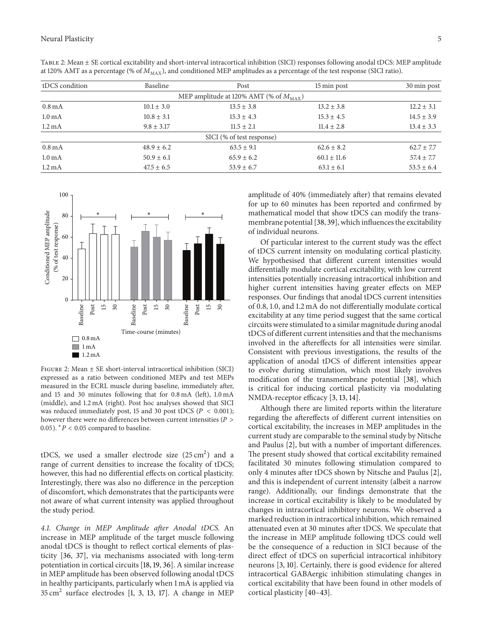| tDCS condition     | Baseline       | Post                                               | 15 min post     | 30 min post    |
|--------------------|----------------|----------------------------------------------------|-----------------|----------------|
|                    |                | MEP amplitude at 120% AMT (% of $M_{\text{MAX}}$ ) |                 |                |
| $0.8 \text{ mA}$   | $10.1 \pm 3.0$ | $13.5 \pm 3.8$                                     | $13.2 \pm 3.8$  | $12.2 \pm 3.1$ |
| 1.0 <sub>mA</sub>  | $10.8 \pm 3.1$ | $15.3 \pm 4.3$                                     | $15.3 \pm 4.5$  | $14.5 \pm 3.9$ |
| $1.2 \text{ mA}$   | $9.8 \pm 3.17$ | $11.5 \pm 2.1$                                     | $11.4 \pm 2.8$  | $13.4 \pm 3.3$ |
|                    |                | SICI (% of test response)                          |                 |                |
| $0.8 \text{ mA}$   | $48.9 \pm 6.2$ | $63.5 \pm 9.1$                                     | $62.6 \pm 8.2$  | $62.7 \pm 7.7$ |
| 1.0 <sub>m</sub> A | $50.9 \pm 6.1$ | $65.9 \pm 6.2$                                     | $60.1 \pm 11.6$ | $57.4 \pm 7.7$ |
| $1.2 \text{ mA}$   | $47.5 \pm 6.5$ | $53.9 \pm 6.7$                                     | $63.1 \pm 6.1$  | $53.5 \pm 6.4$ |

Table 2: Mean ± SE cortical excitability and short-interval intracortical inhibition (SICI) responses following anodal tDCS: MEP amplitude at 120% AMT as a percentage (% of  $M_{\rm MAX}$ ), and conditioned MEP amplitudes as a percentage of the test response (SICI ratio).



Figure 2: Mean ± SE short-interval intracortical inhibition (SICI) expressed as a ratio between conditioned MEPs and test MEPs measured in the ECRL muscle during baseline, immediately after, and 15 and 30 minutes following that for 0.8 mA (left), 1.0 mA (middle), and 1.2 mA (right). Post hoc analyses showed that SICI was reduced immediately post, 15 and 30 post tDCS ( $P < 0.001$ ); however there were no differences between current intensities ( $P >$ 0.05).  $*P < 0.05$  compared to baseline.

tDCS, we used a smaller electrode size  $(25 \text{ cm}^2)$  and a range of current densities to increase the focality of tDCS; however, this had no differential effects on cortical plasticity. Interestingly, there was also no difference in the perception of discomfort, which demonstrates that the participants were not aware of what current intensity was applied throughout the study period.

*4.1. Change in MEP Amplitude after Anodal tDCS.* An increase in MEP amplitude of the target muscle following anodal tDCS is thought to reflect cortical elements of plasticity [36, 37], via mechanisms associated with long-term potentiation in cortical circuits [18, 19, 36]. A similar increase in MEP amplitude has been observed following anodal tDCS in healthy participants, particularly when 1 mA is applied via  $35 \text{ cm}^2$  surface electrodes [1, 3, 13, 17]. A change in MEP

amplitude of 40% (immediately after) that remains elevated for up to 60 minutes has been reported and confirmed by mathematical model that show tDCS can modify the transmembrane potential [38, 39], which influences the excitability of individual neurons.

Of particular interest to the current study was the effect of tDCS current intensity on modulating cortical plasticity. We hypothesised that different current intensities would differentially modulate cortical excitability, with low current intensities potentially increasing intracortical inhibition and higher current intensities having greater effects on MEP responses. Our findings that anodal tDCS current intensities of 0.8, 1.0, and 1.2 mA do not differentially modulate cortical excitability at any time period suggest that the same cortical circuits were stimulated to a similar magnitude during anodal tDCS of different current intensities and that the mechanisms involved in the aftereffects for all intensities were similar. Consistent with previous investigations, the results of the application of anodal tDCS of different intensities appear to evolve during stimulation, which most likely involves modification of the transmembrane potential [38], which is critical for inducing cortical plasticity via modulating NMDA-receptor efficacy [3, 13, 14].

Although there are limited reports within the literature regarding the aftereffects of different current intensities on cortical excitability, the increases in MEP amplitudes in the current study are comparable to the seminal study by Nitsche and Paulus [2], but with a number of important differences. The present study showed that cortical excitability remained facilitated 30 minutes following stimulation compared to only 4 minutes after tDCS shown by Nitsche and Paulus [2], and this is independent of current intensity (albeit a narrow range). Additionally, our findings demonstrate that the increase in cortical excitability is likely to be modulated by changes in intracortical inhibitory neurons. We observed a marked reduction in intracortical inhibition, which remained attenuated even at 30 minutes after tDCS. We speculate that the increase in MEP amplitude following tDCS could well be the consequence of a reduction in SICI because of the direct effect of tDCS on superficial intracortical inhibitory neurons [3, 10]. Certainly, there is good evidence for altered intracortical GABAergic inhibition stimulating changes in cortical excitability that have been found in other models of cortical plasticity [40–43].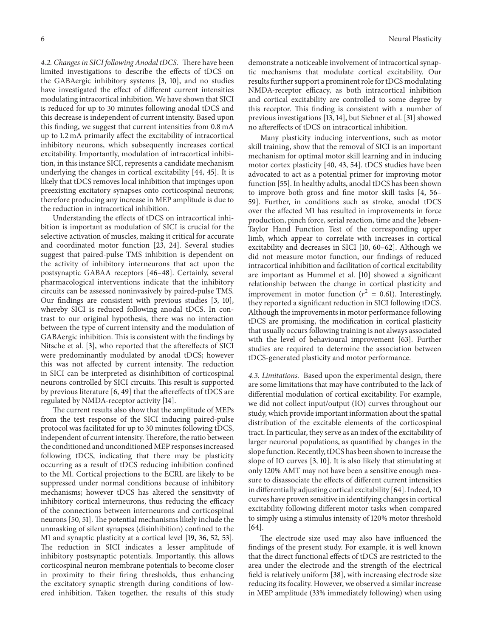*4.2. Changes in SICI following Anodal tDCS.* There have been limited investigations to describe the effects of tDCS on the GABAergic inhibitory systems [3, 10], and no studies have investigated the effect of different current intensities modulating intracortical inhibition. We have shown that SICI is reduced for up to 30 minutes following anodal tDCS and this decrease is independent of current intensity. Based upon this finding, we suggest that current intensities from 0.8 mA up to 1.2 mA primarily affect the excitability of intracortical inhibitory neurons, which subsequently increases cortical excitability. Importantly, modulation of intracortical inhibition, in this instance SICI, represents a candidate mechanism underlying the changes in cortical excitability [44, 45]. It is likely that tDCS removes local inhibition that impinges upon preexisting excitatory synapses onto corticospinal neurons; therefore producing any increase in MEP amplitude is due to the reduction in intracortical inhibition.

Understanding the effects of tDCS on intracortical inhibition is important as modulation of SICI is crucial for the selective activation of muscles, making it critical for accurate and coordinated motor function [23, 24]. Several studies suggest that paired-pulse TMS inhibition is dependent on the activity of inhibitory interneurons that act upon the postsynaptic GABAA receptors [46–48]. Certainly, several pharmacological interventions indicate that the inhibitory circuits can be assessed noninvasively by paired-pulse TMS. Our findings are consistent with previous studies [3, 10], whereby SICI is reduced following anodal tDCS. In contrast to our original hypothesis, there was no interaction between the type of current intensity and the modulation of GABAergic inhibition. This is consistent with the findings by Nitsche et al. [3], who reported that the aftereffects of SICI were predominantly modulated by anodal tDCS; however this was not affected by current intensity. The reduction in SICI can be interpreted as disinhibition of corticospinal neurons controlled by SICI circuits. This result is supported by previous literature [6, 49] that the aftereffects of tDCS are regulated by NMDA-receptor activity [14].

The current results also show that the amplitude of MEPs from the test response of the SICI inducing paired-pulse protocol was facilitated for up to 30 minutes following tDCS, independent of current intensity. Therefore, the ratio between the conditioned and unconditioned MEP responses increased following tDCS, indicating that there may be plasticity occurring as a result of tDCS reducing inhibition confined to the M1. Cortical projections to the ECRL are likely to be suppressed under normal conditions because of inhibitory mechanisms; however tDCS has altered the sensitivity of inhibitory cortical interneurons, thus reducing the efficacy of the connections between interneurons and corticospinal neurons [50, 51]. The potential mechanisms likely include the unmasking of silent synapses (disinhibition) confined to the M1 and synaptic plasticity at a cortical level [19, 36, 52, 53]. The reduction in SICI indicates a lesser amplitude of inhibitory postsynaptic potentials. Importantly, this allows corticospinal neuron membrane potentials to become closer in proximity to their firing thresholds, thus enhancing the excitatory synaptic strength during conditions of lowered inhibition. Taken together, the results of this study demonstrate a noticeable involvement of intracortical synaptic mechanisms that modulate cortical excitability. Our results further support a prominent role for tDCS modulating NMDA-receptor efficacy, as both intracortical inhibition and cortical excitability are controlled to some degree by this receptor. This finding is consistent with a number of previous investigations [13, 14], but Siebner et al. [31] showed no aftereffects of tDCS on intracortical inhibition.

Many plasticity inducing interventions, such as motor skill training, show that the removal of SICI is an important mechanism for optimal motor skill learning and in inducing motor cortex plasticity [40, 43, 54]. tDCS studies have been advocated to act as a potential primer for improving motor function [55]. In healthy adults, anodal tDCS has been shown to improve both gross and fine motor skill tasks [4, 56– 59]. Further, in conditions such as stroke, anodal tDCS over the affected M1 has resulted in improvements in force production, pinch force, serial reaction, time and the Jebsen-Taylor Hand Function Test of the corresponding upper limb, which appear to correlate with increases in cortical excitability and decreases in SICI [10, 60–62]. Although we did not measure motor function, our findings of reduced intracortical inhibition and facilitation of cortical excitability are important as Hummel et al. [10] showed a significant relationship between the change in cortical plasticity and improvement in motor function ( $r^2 = 0.61$ ). Interestingly, they reported a significant reduction in SICI following tDCS. Although the improvements in motor performance following tDCS are promising, the modification in cortical plasticity that usually occurs following training is not always associated with the level of behavioural improvement [63]. Further studies are required to determine the association between tDCS-generated plasticity and motor performance.

*4.3. Limitations.* Based upon the experimental design, there are some limitations that may have contributed to the lack of differential modulation of cortical excitability. For example, we did not collect input/output (IO) curves throughout our study, which provide important information about the spatial distribution of the excitable elements of the corticospinal tract. In particular, they serve as an index of the excitability of larger neuronal populations, as quantified by changes in the slope function. Recently, tDCS has been shown to increase the slope of IO curves [3, 10]. It is also likely that stimulating at only 120% AMT may not have been a sensitive enough measure to disassociate the effects of different current intensities in differentially adjusting cortical excitability [64]. Indeed, IO curves have proven sensitive in identifying changes in cortical excitability following different motor tasks when compared to simply using a stimulus intensity of 120% motor threshold  $[64]$ .

The electrode size used may also have influenced the findings of the present study. For example, it is well known that the direct functional effects of tDCS are restricted to the area under the electrode and the strength of the electrical field is relatively uniform [38], with increasing electrode size reducing its focality. However, we observed a similar increase in MEP amplitude (33% immediately following) when using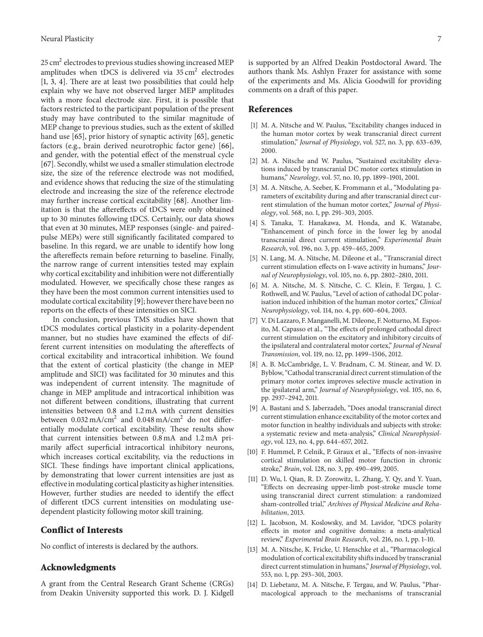25 cm<sup>2</sup> electrodes to previous studies showing increased MEP amplitudes when tDCS is delivered via  $35 \text{ cm}^2$  electrodes [1, 3, 4]. There are at least two possibilities that could help explain why we have not observed larger MEP amplitudes with a more focal electrode size. First, it is possible that factors restricted to the participant population of the present study may have contributed to the similar magnitude of MEP change to previous studies, such as the extent of skilled hand use [65], prior history of synaptic activity [65], genetic factors (e.g., brain derived neurotrophic factor gene) [66], and gender, with the potential effect of the menstrual cycle [67]. Secondly, whilst we used a smaller stimulation electrode size, the size of the reference electrode was not modified, and evidence shows that reducing the size of the stimulating electrode and increasing the size of the reference electrode may further increase cortical excitability [68]. Another limitation is that the aftereffects of tDCS were only obtained up to 30 minutes following tDCS. Certainly, our data shows that even at 30 minutes, MEP responses (single- and pairedpulse MEPs) were still significantly facilitated compared to baseline. In this regard, we are unable to identify how long the aftereffects remain before returning to baseline. Finally, the narrow range of current intensities tested may explain why cortical excitability and inhibition were not differentially modulated. However, we specifically chose these ranges as they have been the most common current intensities used to modulate cortical excitability [9]; however there have been no reports on the effects of these intensities on SICI.

In conclusion, previous TMS studies have shown that tDCS modulates cortical plasticity in a polarity-dependent manner, but no studies have examined the effects of different current intensities on modulating the aftereffects of cortical excitability and intracortical inhibition. We found that the extent of cortical plasticity (the change in MEP amplitude and SICI) was facilitated for 30 minutes and this was independent of current intensity. The magnitude of change in MEP amplitude and intracortical inhibition was not different between conditions, illustrating that current intensities between 0.8 and 1.2 mA with current densities between  $0.032 \text{ mA/cm}^2$  and  $0.048 \text{ mA/cm}^2$  do not differentially modulate cortical excitability. These results show that current intensities between 0.8 mA and 1.2 mA primarily affect superficial intracortical inhibitory neurons, which increases cortical excitability, via the reductions in SICI. These findings have important clinical applications, by demonstrating that lower current intensities are just as effective in modulating cortical plasticity as higher intensities. However, further studies are needed to identify the effect of different tDCS current intensities on modulating usedependent plasticity following motor skill training.

#### **Conflict of Interests**

No conflict of interests is declared by the authors.

#### **Acknowledgments**

A grant from the Central Research Grant Scheme (CRGs) from Deakin University supported this work. D. J. Kidgell is supported by an Alfred Deakin Postdoctoral Award. The authors thank Ms. Ashlyn Frazer for assistance with some of the experiments and Ms. Alicia Goodwill for providing comments on a draft of this paper.

#### **References**

- [1] M. A. Nitsche and W. Paulus, "Excitability changes induced in the human motor cortex by weak transcranial direct current stimulation," *Journal of Physiology*, vol. 527, no. 3, pp. 633–639, 2000.
- [2] M. A. Nitsche and W. Paulus, "Sustained excitability elevations induced by transcranial DC motor cortex stimulation in humans," *Neurology*, vol. 57, no. 10, pp. 1899–1901, 2001.
- [3] M. A. Nitsche, A. Seeber, K. Frommann et al., "Modulating parameters of excitability during and after transcranial direct current stimulation of the human motor cortex," *Journal of Physiology*, vol. 568, no. 1, pp. 291–303, 2005.
- [4] S. Tanaka, T. Hanakawa, M. Honda, and K. Watanabe, "Enhancement of pinch force in the lower leg by anodal transcranial direct current stimulation," *Experimental Brain Research*, vol. 196, no. 3, pp. 459–465, 2009.
- [5] N. Lang, M. A. Nitsche, M. Dileone et al., "Transcranial direct current stimulation effects on I-wave activity in humans," *Journal of Neurophysiology*, vol. 105, no. 6, pp. 2802–2810, 2011.
- [6] M. A. Nitsche, M. S. Nitsche, C. C. Klein, F. Tergau, J. C. Rothwell, and W. Paulus, "Level of action of cathodal DC polarisation induced inhibition of the human motor cortex," *Clinical Neurophysiology*, vol. 114, no. 4, pp. 600–604, 2003.
- [7] V. Di Lazzaro, F. Manganelli, M. Dileone, F. Notturno, M. Esposito, M. Capasso et al., "The effects of prolonged cathodal direct current stimulation on the excitatory and inhibitory circuits of the ipsilateral and contralateral motor cortex," *Journal of Neural Transmission*, vol. 119, no. 12, pp. 1499–1506, 2012.
- [8] A. B. McCambridge, L. V. Bradnam, C. M. Stinear, and W. D. Byblow, "Cathodal transcranial direct current stimulation of the primary motor cortex improves selective muscle activation in the ipsilateral arm," *Journal of Neurophysiology*, vol. 105, no. 6, pp. 2937–2942, 2011.
- [9] A. Bastani and S. Jaberzadeh, "Does anodal transcranial direct current stimulation enhance excitability of the motor cortex and motor function in healthy individuals and subjects with stroke: a systematic review and meta-analysis," *Clinical Neurophysiology*, vol. 123, no. 4, pp. 644–657, 2012.
- [10] F. Hummel, P. Celnik, P. Giraux et al., "Effects of non-invasive cortical stimulation on skilled motor function in chronic stroke," *Brain*, vol. 128, no. 3, pp. 490–499, 2005.
- [11] D. Wu, l. Qian, R. D. Zorowitz, L. Zhang, Y. Qy, and Y. Yuan, "Effects on decreasing upper-limb post-stroke muscle tome using transcranial direct current stimulation: a randomized sham-controlled trial," *Archives of Physical Medicine and Rehabilitation*, 2013.
- [12] L. Jacobson, M. Koslowsky, and M. Lavidor, "tDCS polarity effects in motor and cognitive domains: a meta-analytical review," *Experimental Brain Research*, vol. 216, no. 1, pp. 1–10.
- [13] M. A. Nitsche, K. Fricke, U. Henschke et al., "Pharmacological modulation of cortical excitability shifts induced by transcranial direct current stimulation in humans," *Journal of Physiology*, vol. 553, no. 1, pp. 293–301, 2003.
- [14] D. Liebetanz, M. A. Nitsche, F. Tergau, and W. Paulus, "Pharmacological approach to the mechanisms of transcranial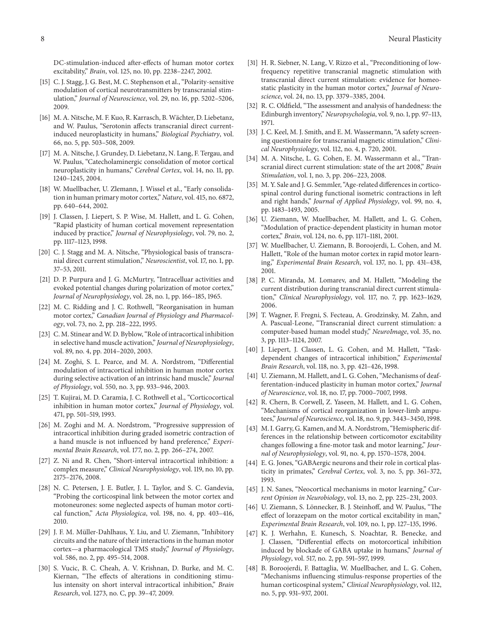DC-stimulation-induced after-effects of human motor cortex excitability," *Brain*, vol. 125, no. 10, pp. 2238–2247, 2002.

- [15] C. J. Stagg, J. G. Best, M. C. Stephenson et al., "Polarity-sensitive modulation of cortical neurotransmitters by transcranial stimulation," *Journal of Neuroscience*, vol. 29, no. 16, pp. 5202–5206, 2009.
- [16] M. A. Nitsche, M. F. Kuo, R. Karrasch, B. Wächter, D. Liebetanz, and W. Paulus, "Serotonin affects transcranial direct currentinduced neuroplasticity in humans," *Biological Psychiatry*, vol. 66, no. 5, pp. 503–508, 2009.
- [17] M. A. Nitsche, J. Grundey, D. Liebetanz, N. Lang, F. Tergau, and W. Paulus, "Catecholaminergic consolidation of motor cortical neuroplasticity in humans," *Cerebral Cortex*, vol. 14, no. 11, pp. 1240–1245, 2004.
- [18] W. Muellbacher, U. Zlemann, J. Wissel et al., "Early consolidation in human primary motor cortex," *Nature*, vol. 415, no. 6872, pp. 640–644, 2002.
- [19] J. Classen, J. Liepert, S. P. Wise, M. Hallett, and L. G. Cohen, "Rapid plasticity of human cortical movement representation induced by practice," *Journal of Neurophysiology*, vol. 79, no. 2, pp. 1117–1123, 1998.
- [20] C. J. Stagg and M. A. Nitsche, "Physiological basis of transcranial direct current stimulation," *Neuroscientist*, vol. 17, no. 1, pp. 37–53, 2011.
- [21] D. P. Purpura and J. G. McMurtry, "Intracelluar activities and evoked potential changes during polarization of motor cortex," *Journal of Neurophysiology*, vol. 28, no. 1, pp. 166–185, 1965.
- [22] M. C. Ridding and J. C. Rothwell, "Reorganisation in human motor cortex," *Canadian Journal of Physiology and Pharmacology*, vol. 73, no. 2, pp. 218–222, 1995.
- [23] C. M. Stinear and W. D. Byblow, "Role of intracortical inhibition in selective hand muscle activation," *Journal of Neurophysiology*, vol. 89, no. 4, pp. 2014–2020, 2003.
- [24] M. Zoghi, S. L. Pearce, and M. A. Nordstrom, "Differential modulation of intracortical inhibition in human motor cortex during selective activation of an intrinsic hand muscle," *Journal of Physiology*, vol. 550, no. 3, pp. 933–946, 2003.
- [25] T. Kujirai, M. D. Caramia, J. C. Rothwell et al., "Corticocortical inhibition in human motor cortex," *Journal of Physiology*, vol. 471, pp. 501–519, 1993.
- [26] M. Zoghi and M. A. Nordstrom, "Progressive suppression of intracortical inhibition during graded isometric contraction of a hand muscle is not influenced by hand preference," *Experimental Brain Research*, vol. 177, no. 2, pp. 266–274, 2007.
- [27] Z. Ni and R. Chen, "Short-interval intracortical inhibition: a complex measure," *Clinical Neurophysiology*, vol. 119, no. 10, pp. 2175–2176, 2008.
- [28] N. C. Petersen, J. E. Butler, J. L. Taylor, and S. C. Gandevia, "Probing the corticospinal link between the motor cortex and motoneurones: some neglected aspects of human motor cortical function," *Acta Physiologica*, vol. 198, no. 4, pp. 403–416, 2010.
- [29] J. F. M. Müller-Dahlhaus, Y. Liu, and U. Ziemann, "Inhibitory circuits and the nature of their interactions in the human motor cortex—a pharmacological TMS study," *Journal of Physiology*, vol. 586, no. 2, pp. 495–514, 2008.
- [30] S. Vucic, B. C. Cheah, A. V. Krishnan, D. Burke, and M. C. Kiernan, "The effects of alterations in conditioning stimulus intensity on short interval intracortical inhibition," *Brain Research*, vol. 1273, no. C, pp. 39–47, 2009.
- [31] H. R. Siebner, N. Lang, V. Rizzo et al., "Preconditioning of lowfrequency repetitive transcranial magnetic stimulation with transcranial direct current stimulation: evidence for homeostatic plasticity in the human motor cortex," *Journal of Neuroscience*, vol. 24, no. 13, pp. 3379–3385, 2004.
- [32] R. C. Oldfield, "The assessment and analysis of handedness: the Edinburgh inventory," *Neuropsychologia*, vol. 9, no. 1, pp. 97–113, 1971.
- [33] J. C. Keel, M. J. Smith, and E. M. Wassermann, "A safety screening questionnaire for transcranial magnetic stimulation," *Clinical Neurophysiology*, vol. 112, no. 4, p. 720, 2001.
- [34] M. A. Nitsche, L. G. Cohen, E. M. Wassermann et al., "Transcranial direct current stimulation: state of the art 2008," *Brain Stimulation*, vol. 1, no. 3, pp. 206–223, 2008.
- [35] M. Y. Sale and J. G. Semmler, "Age-related differences in corticospinal control during functional isometric contractions in left and right hands," *Journal of Applied Physiology*, vol. 99, no. 4, pp. 1483–1493, 2005.
- [36] U. Ziemann, W. Muellbacher, M. Hallett, and L. G. Cohen, "Modulation of practice-dependent plasticity in human motor cortex," *Brain*, vol. 124, no. 6, pp. 1171–1181, 2001.
- [37] W. Muellbacher, U. Ziemann, B. Boroojerdi, L. Cohen, and M. Hallett, "Role of the human motor cortex in rapid motor learning," *Experimental Brain Research*, vol. 137, no. 1, pp. 431–438, 2001.
- [38] P. C. Miranda, M. Lomarev, and M. Hallett, "Modeling the current distribution during transcranial direct current stimulation," *Clinical Neurophysiology*, vol. 117, no. 7, pp. 1623–1629, 2006.
- [39] T. Wagner, F. Fregni, S. Fecteau, A. Grodzinsky, M. Zahn, and A. Pascual-Leone, "Transcranial direct current stimulation: a computer-based human model study," *NeuroImage*, vol. 35, no. 3, pp. 1113–1124, 2007.
- [40] J. Liepert, J. Classen, L. G. Cohen, and M. Hallett, "Taskdependent changes of intracortical inhibition," *Experimental Brain Research*, vol. 118, no. 3, pp. 421–426, 1998.
- [41] U. Ziemann, M. Hallett, and L. G. Cohen, "Mechanisms of deafferentation-induced plasticity in human motor cortex," *Journal of Neuroscience*, vol. 18, no. 17, pp. 7000–7007, 1998.
- [42] R. Chern, B. Corwell, Z. Yaseen, M. Hallett, and L. G. Cohen, "Mechanisms of cortical reorganization in lower-limb amputees," *Journal of Neuroscience*, vol. 18, no. 9, pp. 3443–3450, 1998.
- [43] M. I. Garry, G. Kamen, and M. A. Nordstrom, "Hemispheric differences in the relationship between corticomotor excitability changes following a fine-motor task and motor learning," *Journal of Neurophysiology*, vol. 91, no. 4, pp. 1570–1578, 2004.
- [44] E. G. Jones, "GABAergic neurons and their role in cortical plasticity in primates," *Cerebral Cortex*, vol. 3, no. 5, pp. 361–372, 1993.
- [45] J. N. Sanes, "Neocortical mechanisms in motor learning," *Current Opinion in Neurobiology*, vol. 13, no. 2, pp. 225–231, 2003.
- [46] U. Ziemann, S. Lönnecker, B. J. Steinhoff, and W. Paulus, "The effect of lorazepam on the motor cortical excitability in man," *Experimental Brain Research*, vol. 109, no. 1, pp. 127–135, 1996.
- [47] K. J. Werhahn, E. Kunesch, S. Noachtar, R. Benecke, and J. Classen, "Differential effects on motorcortical inhibition induced by blockade of GABA uptake in humans," *Journal of Physiology*, vol. 517, no. 2, pp. 591–597, 1999.
- [48] B. Boroojerdi, F. Battaglia, W. Muellbacher, and L. G. Cohen, "Mechanisms influencing stimulus-response properties of the human corticospinal system," *Clinical Neurophysiology*, vol. 112, no. 5, pp. 931–937, 2001.